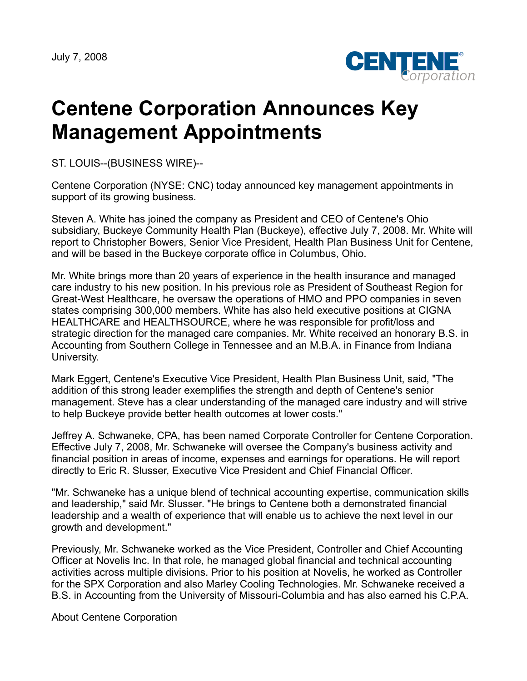

## **Centene Corporation Announces Key Management Appointments**

ST. LOUIS--(BUSINESS WIRE)--

Centene Corporation (NYSE: CNC) today announced key management appointments in support of its growing business.

Steven A. White has joined the company as President and CEO of Centene's Ohio subsidiary, Buckeye Community Health Plan (Buckeye), effective July 7, 2008. Mr. White will report to Christopher Bowers, Senior Vice President, Health Plan Business Unit for Centene, and will be based in the Buckeye corporate office in Columbus, Ohio.

Mr. White brings more than 20 years of experience in the health insurance and managed care industry to his new position. In his previous role as President of Southeast Region for Great-West Healthcare, he oversaw the operations of HMO and PPO companies in seven states comprising 300,000 members. White has also held executive positions at CIGNA HEALTHCARE and HEALTHSOURCE, where he was responsible for profit/loss and strategic direction for the managed care companies. Mr. White received an honorary B.S. in Accounting from Southern College in Tennessee and an M.B.A. in Finance from Indiana University.

Mark Eggert, Centene's Executive Vice President, Health Plan Business Unit, said, "The addition of this strong leader exemplifies the strength and depth of Centene's senior management. Steve has a clear understanding of the managed care industry and will strive to help Buckeye provide better health outcomes at lower costs."

Jeffrey A. Schwaneke, CPA, has been named Corporate Controller for Centene Corporation. Effective July 7, 2008, Mr. Schwaneke will oversee the Company's business activity and financial position in areas of income, expenses and earnings for operations. He will report directly to Eric R. Slusser, Executive Vice President and Chief Financial Officer.

"Mr. Schwaneke has a unique blend of technical accounting expertise, communication skills and leadership," said Mr. Slusser. "He brings to Centene both a demonstrated financial leadership and a wealth of experience that will enable us to achieve the next level in our growth and development."

Previously, Mr. Schwaneke worked as the Vice President, Controller and Chief Accounting Officer at Novelis Inc. In that role, he managed global financial and technical accounting activities across multiple divisions. Prior to his position at Novelis, he worked as Controller for the SPX Corporation and also Marley Cooling Technologies. Mr. Schwaneke received a B.S. in Accounting from the University of Missouri-Columbia and has also earned his C.P.A.

About Centene Corporation